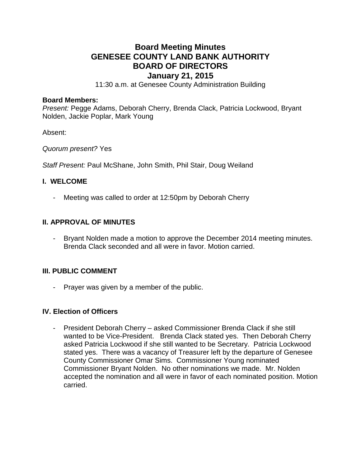# **Board Meeting Minutes GENESEE COUNTY LAND BANK AUTHORITY BOARD OF DIRECTORS**

# **January 21, 2015**

11:30 a.m. at Genesee County Administration Building

#### **Board Members:**

*Present:* Pegge Adams, Deborah Cherry, Brenda Clack, Patricia Lockwood, Bryant Nolden, Jackie Poplar, Mark Young

Absent:

*Quorum present?* Yes

*Staff Present:* Paul McShane, John Smith, Phil Stair, Doug Weiland

#### **I. WELCOME**

Meeting was called to order at 12:50pm by Deborah Cherry

# **II. APPROVAL OF MINUTES**

Bryant Nolden made a motion to approve the December 2014 meeting minutes. Brenda Clack seconded and all were in favor. Motion carried.

#### **III. PUBLIC COMMENT**

- Prayer was given by a member of the public.

#### **IV. Election of Officers**

- President Deborah Cherry – asked Commissioner Brenda Clack if she still wanted to be Vice-President. Brenda Clack stated yes. Then Deborah Cherry asked Patricia Lockwood if she still wanted to be Secretary. Patricia Lockwood stated yes. There was a vacancy of Treasurer left by the departure of Genesee County Commissioner Omar Sims. Commissioner Young nominated Commissioner Bryant Nolden. No other nominations we made. Mr. Nolden accepted the nomination and all were in favor of each nominated position. Motion carried.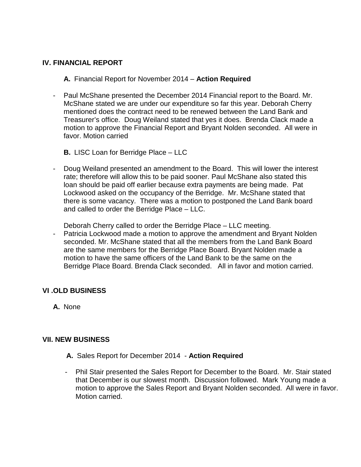# **IV. FINANCIAL REPORT**

**A.** Financial Report for November 2014 – **Action Required**

- Paul McShane presented the December 2014 Financial report to the Board. Mr. McShane stated we are under our expenditure so far this year. Deborah Cherry mentioned does the contract need to be renewed between the Land Bank and Treasurer's office. Doug Weiland stated that yes it does. Brenda Clack made a motion to approve the Financial Report and Bryant Nolden seconded. All were in favor. Motion carried
	- **B.** LISC Loan for Berridge Place LLC
- Doug Weiland presented an amendment to the Board. This will lower the interest rate; therefore will allow this to be paid sooner. Paul McShane also stated this loan should be paid off earlier because extra payments are being made. Pat Lockwood asked on the occupancy of the Berridge. Mr. McShane stated that there is some vacancy. There was a motion to postponed the Land Bank board and called to order the Berridge Place – LLC.

Deborah Cherry called to order the Berridge Place – LLC meeting.

- Patricia Lockwood made a motion to approve the amendment and Bryant Nolden seconded. Mr. McShane stated that all the members from the Land Bank Board are the same members for the Berridge Place Board. Bryant Nolden made a motion to have the same officers of the Land Bank to be the same on the Berridge Place Board. Brenda Clack seconded. All in favor and motion carried.

# **VI .OLD BUSINESS**

**A.** None

# **VII. NEW BUSINESS**

- **A.** Sales Report for December 2014 **Action Required**
- Phil Stair presented the Sales Report for December to the Board. Mr. Stair stated that December is our slowest month. Discussion followed. Mark Young made a motion to approve the Sales Report and Bryant Nolden seconded. All were in favor. Motion carried.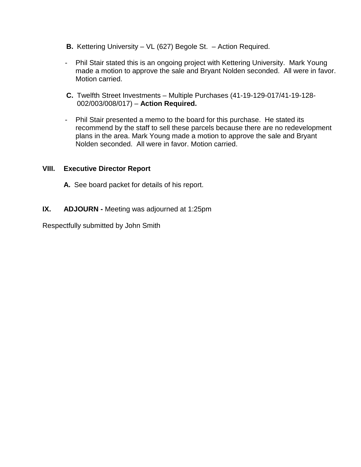- **B.** Kettering University VL (627) Begole St. Action Required.
- Phil Stair stated this is an ongoing project with Kettering University. Mark Young made a motion to approve the sale and Bryant Nolden seconded. All were in favor. Motion carried.
- **C.** Twelfth Street Investments Multiple Purchases (41-19-129-017/41-19-128- 002/003/008/017) – **Action Required.**
- Phil Stair presented a memo to the board for this purchase. He stated its recommend by the staff to sell these parcels because there are no redevelopment plans in the area. Mark Young made a motion to approve the sale and Bryant Nolden seconded. All were in favor. Motion carried.

# **VIII. Executive Director Report**

- **A.** See board packet for details of his report.
- **IX. ADJOURN -** Meeting was adjourned at 1:25pm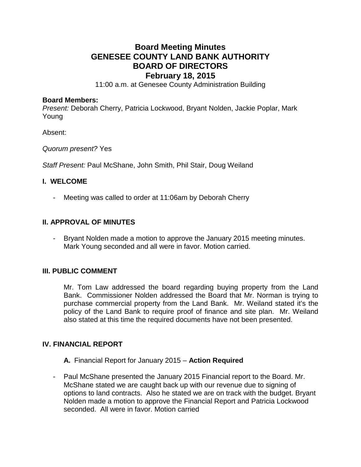# **Board Meeting Minutes GENESEE COUNTY LAND BANK AUTHORITY BOARD OF DIRECTORS February 18, 2015**

11:00 a.m. at Genesee County Administration Building

#### **Board Members:**

*Present:* Deborah Cherry, Patricia Lockwood, Bryant Nolden, Jackie Poplar, Mark Young

Absent:

*Quorum present?* Yes

*Staff Present:* Paul McShane, John Smith, Phil Stair, Doug Weiland

#### **I. WELCOME**

- Meeting was called to order at 11:06am by Deborah Cherry

# **II. APPROVAL OF MINUTES**

Bryant Nolden made a motion to approve the January 2015 meeting minutes. Mark Young seconded and all were in favor. Motion carried.

#### **III. PUBLIC COMMENT**

Mr. Tom Law addressed the board regarding buying property from the Land Bank. Commissioner Nolden addressed the Board that Mr. Norman is trying to purchase commercial property from the Land Bank. Mr. Weiland stated it's the policy of the Land Bank to require proof of finance and site plan. Mr. Weiland also stated at this time the required documents have not been presented.

# **IV. FINANCIAL REPORT**

**A.** Financial Report for January 2015 – **Action Required**

- Paul McShane presented the January 2015 Financial report to the Board. Mr. McShane stated we are caught back up with our revenue due to signing of options to land contracts. Also he stated we are on track with the budget. Bryant Nolden made a motion to approve the Financial Report and Patricia Lockwood seconded. All were in favor. Motion carried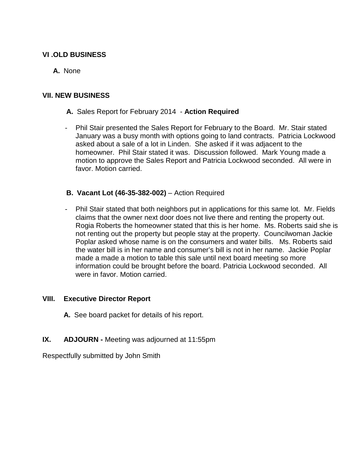# **VI .OLD BUSINESS**

# **A.** None

# **VII. NEW BUSINESS**

- **A.** Sales Report for February 2014 **Action Required**
- Phil Stair presented the Sales Report for February to the Board. Mr. Stair stated January was a busy month with options going to land contracts. Patricia Lockwood asked about a sale of a lot in Linden. She asked if it was adjacent to the homeowner. Phil Stair stated it was. Discussion followed. Mark Young made a motion to approve the Sales Report and Patricia Lockwood seconded. All were in favor. Motion carried.
- **B. Vacant Lot (46-35-382-002)** Action Required
- Phil Stair stated that both neighbors put in applications for this same lot. Mr. Fields claims that the owner next door does not live there and renting the property out. Rogia Roberts the homeowner stated that this is her home. Ms. Roberts said she is not renting out the property but people stay at the property. Councilwoman Jackie Poplar asked whose name is on the consumers and water bills. Ms. Roberts said the water bill is in her name and consumer's bill is not in her name. Jackie Poplar made a made a motion to table this sale until next board meeting so more information could be brought before the board. Patricia Lockwood seconded. All were in favor. Motion carried.

#### **VIII. Executive Director Report**

- **A.** See board packet for details of his report.
- **IX. ADJOURN -** Meeting was adjourned at 11:55pm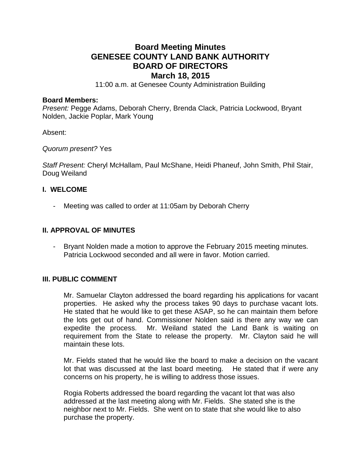# **Board Meeting Minutes GENESEE COUNTY LAND BANK AUTHORITY BOARD OF DIRECTORS March 18, 2015**

11:00 a.m. at Genesee County Administration Building

#### **Board Members:**

*Present:* Pegge Adams, Deborah Cherry, Brenda Clack, Patricia Lockwood, Bryant Nolden, Jackie Poplar, Mark Young

Absent:

*Quorum present?* Yes

*Staff Present:* Cheryl McHallam, Paul McShane, Heidi Phaneuf, John Smith, Phil Stair, Doug Weiland

# **I. WELCOME**

Meeting was called to order at 11:05am by Deborah Cherry

#### **II. APPROVAL OF MINUTES**

- Bryant Nolden made a motion to approve the February 2015 meeting minutes. Patricia Lockwood seconded and all were in favor. Motion carried.

#### **III. PUBLIC COMMENT**

Mr. Samuelar Clayton addressed the board regarding his applications for vacant properties. He asked why the process takes 90 days to purchase vacant lots. He stated that he would like to get these ASAP, so he can maintain them before the lots get out of hand. Commissioner Nolden said is there any way we can expedite the process. Mr. Weiland stated the Land Bank is waiting on requirement from the State to release the property. Mr. Clayton said he will maintain these lots.

Mr. Fields stated that he would like the board to make a decision on the vacant lot that was discussed at the last board meeting. He stated that if were any concerns on his property, he is willing to address those issues.

Rogia Roberts addressed the board regarding the vacant lot that was also addressed at the last meeting along with Mr. Fields. She stated she is the neighbor next to Mr. Fields. She went on to state that she would like to also purchase the property.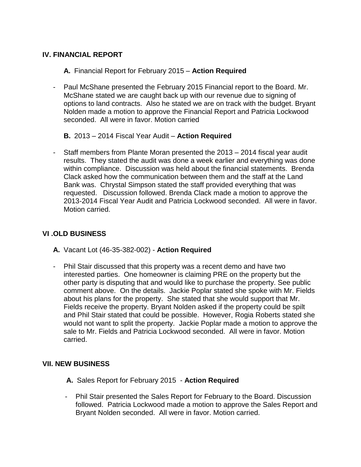# **IV. FINANCIAL REPORT**

**A.** Financial Report for February 2015 – **Action Required**

- Paul McShane presented the February 2015 Financial report to the Board. Mr. McShane stated we are caught back up with our revenue due to signing of options to land contracts. Also he stated we are on track with the budget. Bryant Nolden made a motion to approve the Financial Report and Patricia Lockwood seconded. All were in favor. Motion carried
	- **B.** 2013 2014 Fiscal Year Audit **Action Required**
- Staff members from Plante Moran presented the 2013 2014 fiscal year audit results. They stated the audit was done a week earlier and everything was done within compliance. Discussion was held about the financial statements. Brenda Clack asked how the communication between them and the staff at the Land Bank was. Chrystal Simpson stated the staff provided everything that was requested. Discussion followed. Brenda Clack made a motion to approve the 2013-2014 Fiscal Year Audit and Patricia Lockwood seconded. All were in favor. Motion carried.

# **VI .OLD BUSINESS**

- **A.** Vacant Lot (46-35-382-002) **Action Required**
- Phil Stair discussed that this property was a recent demo and have two interested parties. One homeowner is claiming PRE on the property but the other party is disputing that and would like to purchase the property. See public comment above. On the details. Jackie Poplar stated she spoke with Mr. Fields about his plans for the property. She stated that she would support that Mr. Fields receive the property. Bryant Nolden asked if the property could be spilt and Phil Stair stated that could be possible. However, Rogia Roberts stated she would not want to split the property. Jackie Poplar made a motion to approve the sale to Mr. Fields and Patricia Lockwood seconded. All were in favor. Motion carried.

# **VII. NEW BUSINESS**

- **A.** Sales Report for February 2015 **Action Required**
- Phil Stair presented the Sales Report for February to the Board. Discussion followed. Patricia Lockwood made a motion to approve the Sales Report and Bryant Nolden seconded. All were in favor. Motion carried.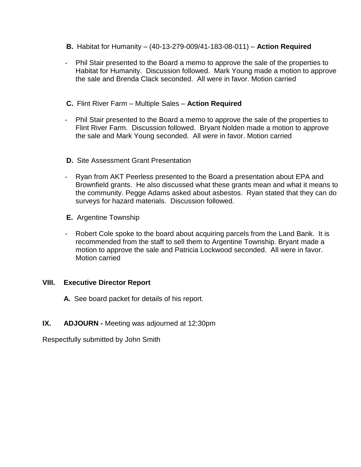- **B.** Habitat for Humanity (40-13-279-009/41-183-08-011) **Action Required**
- Phil Stair presented to the Board a memo to approve the sale of the properties to Habitat for Humanity. Discussion followed. Mark Young made a motion to approve the sale and Brenda Clack seconded. All were in favor. Motion carried
- **C.** Flint River Farm Multiple Sales **Action Required**
- Phil Stair presented to the Board a memo to approve the sale of the properties to Flint River Farm. Discussion followed. Bryant Nolden made a motion to approve the sale and Mark Young seconded. All were in favor. Motion carried
- **D.** Site Assessment Grant Presentation
- Ryan from AKT Peerless presented to the Board a presentation about EPA and Brownfield grants. He also discussed what these grants mean and what it means to the community. Pegge Adams asked about asbestos. Ryan stated that they can do surveys for hazard materials. Discussion followed.
- **E.** Argentine Township
- Robert Cole spoke to the board about acquiring parcels from the Land Bank. It is recommended from the staff to sell them to Argentine Township. Bryant made a motion to approve the sale and Patricia Lockwood seconded. All were in favor. Motion carried

# **VIII. Executive Director Report**

- **A.** See board packet for details of his report.
- **IX. ADJOURN -** Meeting was adjourned at 12:30pm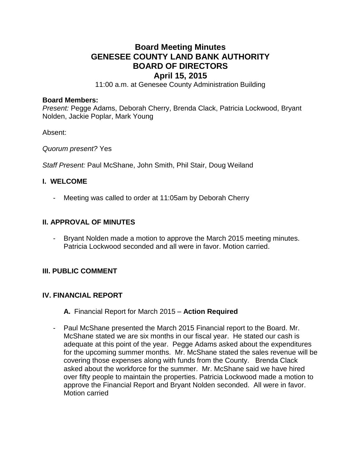# **Board Meeting Minutes GENESEE COUNTY LAND BANK AUTHORITY BOARD OF DIRECTORS April 15, 2015**

11:00 a.m. at Genesee County Administration Building

#### **Board Members:**

*Present:* Pegge Adams, Deborah Cherry, Brenda Clack, Patricia Lockwood, Bryant Nolden, Jackie Poplar, Mark Young

Absent:

*Quorum present?* Yes

*Staff Present:* Paul McShane, John Smith, Phil Stair, Doug Weiland

# **I. WELCOME**

- Meeting was called to order at 11:05am by Deborah Cherry

# **II. APPROVAL OF MINUTES**

Bryant Nolden made a motion to approve the March 2015 meeting minutes. Patricia Lockwood seconded and all were in favor. Motion carried.

# **III. PUBLIC COMMENT**

# **IV. FINANCIAL REPORT**

**A.** Financial Report for March 2015 – **Action Required**

- Paul McShane presented the March 2015 Financial report to the Board. Mr. McShane stated we are six months in our fiscal year. He stated our cash is adequate at this point of the year. Pegge Adams asked about the expenditures for the upcoming summer months. Mr. McShane stated the sales revenue will be covering those expenses along with funds from the County. Brenda Clack asked about the workforce for the summer. Mr. McShane said we have hired over fifty people to maintain the properties. Patricia Lockwood made a motion to approve the Financial Report and Bryant Nolden seconded. All were in favor. Motion carried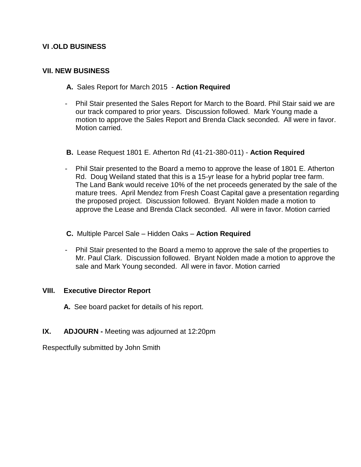# **VI .OLD BUSINESS**

# **VII. NEW BUSINESS**

- **A.** Sales Report for March 2015 **Action Required**
- Phil Stair presented the Sales Report for March to the Board. Phil Stair said we are our track compared to prior years. Discussion followed. Mark Young made a motion to approve the Sales Report and Brenda Clack seconded. All were in favor. Motion carried.
- **B.** Lease Request 1801 E. Atherton Rd (41-21-380-011) **Action Required**
- Phil Stair presented to the Board a memo to approve the lease of 1801 E. Atherton Rd. Doug Weiland stated that this is a 15-yr lease for a hybrid poplar tree farm. The Land Bank would receive 10% of the net proceeds generated by the sale of the mature trees. April Mendez from Fresh Coast Capital gave a presentation regarding the proposed project. Discussion followed. Bryant Nolden made a motion to approve the Lease and Brenda Clack seconded. All were in favor. Motion carried
- **C.** Multiple Parcel Sale Hidden Oaks **Action Required**
- Phil Stair presented to the Board a memo to approve the sale of the properties to Mr. Paul Clark. Discussion followed. Bryant Nolden made a motion to approve the sale and Mark Young seconded. All were in favor. Motion carried

# **VIII. Executive Director Report**

**A.** See board packet for details of his report.

# **IX. ADJOURN -** Meeting was adjourned at 12:20pm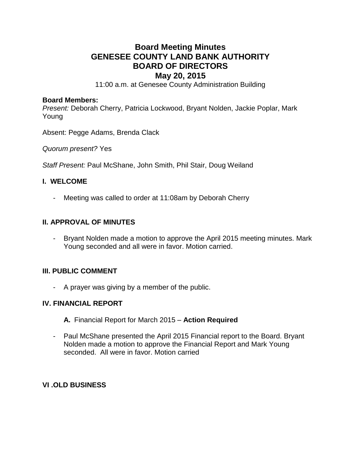# **Board Meeting Minutes GENESEE COUNTY LAND BANK AUTHORITY BOARD OF DIRECTORS May 20, 2015**

11:00 a.m. at Genesee County Administration Building

#### **Board Members:**

*Present:* Deborah Cherry, Patricia Lockwood, Bryant Nolden, Jackie Poplar, Mark Young

Absent: Pegge Adams, Brenda Clack

*Quorum present?* Yes

*Staff Present:* Paul McShane, John Smith, Phil Stair, Doug Weiland

#### **I. WELCOME**

- Meeting was called to order at 11:08am by Deborah Cherry

# **II. APPROVAL OF MINUTES**

- Bryant Nolden made a motion to approve the April 2015 meeting minutes. Mark Young seconded and all were in favor. Motion carried.

# **III. PUBLIC COMMENT**

- A prayer was giving by a member of the public.

# **IV. FINANCIAL REPORT**

- **A.** Financial Report for March 2015 **Action Required**
- Paul McShane presented the April 2015 Financial report to the Board. Bryant Nolden made a motion to approve the Financial Report and Mark Young seconded. All were in favor. Motion carried

# **VI .OLD BUSINESS**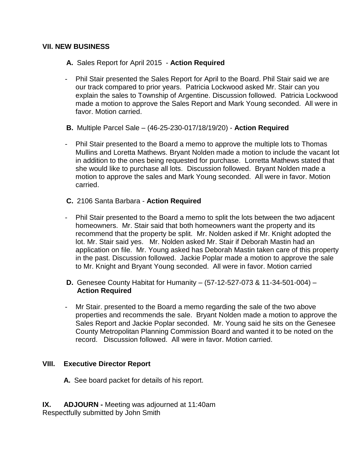# **VII. NEW BUSINESS**

- **A.** Sales Report for April 2015 **Action Required**
- Phil Stair presented the Sales Report for April to the Board. Phil Stair said we are our track compared to prior years. Patricia Lockwood asked Mr. Stair can you explain the sales to Township of Argentine. Discussion followed. Patricia Lockwood made a motion to approve the Sales Report and Mark Young seconded. All were in favor. Motion carried.
- **B.** Multiple Parcel Sale (46-25-230-017/18/19/20) **Action Required**
- Phil Stair presented to the Board a memo to approve the multiple lots to Thomas Mullins and Loretta Mathews. Bryant Nolden made a motion to include the vacant lot in addition to the ones being requested for purchase. Lorretta Mathews stated that she would like to purchase all lots. Discussion followed. Bryant Nolden made a motion to approve the sales and Mark Young seconded. All were in favor. Motion carried.
- **C.** 2106 Santa Barbara **Action Required**
- Phil Stair presented to the Board a memo to split the lots between the two adjacent homeowners. Mr. Stair said that both homeowners want the property and its recommend that the property be split. Mr. Nolden asked if Mr. Knight adopted the lot. Mr. Stair said yes. Mr. Nolden asked Mr. Stair if Deborah Mastin had an application on file. Mr. Young asked has Deborah Mastin taken care of this property in the past. Discussion followed. Jackie Poplar made a motion to approve the sale to Mr. Knight and Bryant Young seconded. All were in favor. Motion carried
- **D.** Genesee County Habitat for Humanity (57-12-527-073 & 11-34-501-004) **Action Required**
- Mr Stair. presented to the Board a memo regarding the sale of the two above properties and recommends the sale. Bryant Nolden made a motion to approve the Sales Report and Jackie Poplar seconded. Mr. Young said he sits on the Genesee County Metropolitan Planning Commission Board and wanted it to be noted on the record. Discussion followed. All were in favor. Motion carried.

# **VIII. Executive Director Report**

- **A.** See board packet for details of his report.
- **IX. ADJOURN -** Meeting was adjourned at 11:40am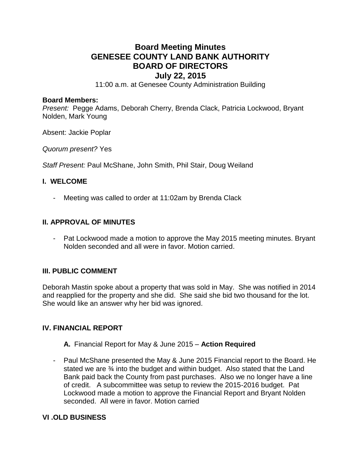# **Board Meeting Minutes GENESEE COUNTY LAND BANK AUTHORITY BOARD OF DIRECTORS July 22, 2015**

11:00 a.m. at Genesee County Administration Building

#### **Board Members:**

*Present:* Pegge Adams, Deborah Cherry, Brenda Clack, Patricia Lockwood, Bryant Nolden, Mark Young

Absent: Jackie Poplar

*Quorum present?* Yes

*Staff Present:* Paul McShane, John Smith, Phil Stair, Doug Weiland

#### **I. WELCOME**

Meeting was called to order at 11:02am by Brenda Clack

# **II. APPROVAL OF MINUTES**

- Pat Lockwood made a motion to approve the May 2015 meeting minutes. Bryant Nolden seconded and all were in favor. Motion carried.

# **III. PUBLIC COMMENT**

Deborah Mastin spoke about a property that was sold in May. She was notified in 2014 and reapplied for the property and she did. She said she bid two thousand for the lot. She would like an answer why her bid was ignored.

# **IV. FINANCIAL REPORT**

- **A.** Financial Report for May & June 2015 **Action Required**
- Paul McShane presented the May & June 2015 Financial report to the Board. He stated we are ¾ into the budget and within budget. Also stated that the Land Bank paid back the County from past purchases. Also we no longer have a line of credit. A subcommittee was setup to review the 2015-2016 budget. Pat Lockwood made a motion to approve the Financial Report and Bryant Nolden seconded. All were in favor. Motion carried

# **VI .OLD BUSINESS**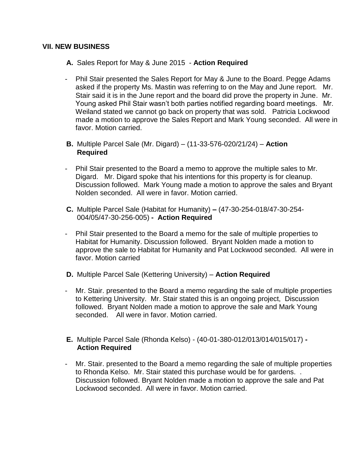### **VII. NEW BUSINESS**

- **A.** Sales Report for May & June 2015 **Action Required**
- Phil Stair presented the Sales Report for May & June to the Board. Pegge Adams asked if the property Ms. Mastin was referring to on the May and June report. Mr. Stair said it is in the June report and the board did prove the property in June. Mr. Young asked Phil Stair wasn't both parties notified regarding board meetings. Mr. Weiland stated we cannot go back on property that was sold. Patricia Lockwood made a motion to approve the Sales Report and Mark Young seconded. All were in favor. Motion carried.
- **B.** Multiple Parcel Sale (Mr. Digard) (11-33-576-020/21/24) **Action Required**
- Phil Stair presented to the Board a memo to approve the multiple sales to Mr. Digard. Mr. Digard spoke that his intentions for this property is for cleanup. Discussion followed. Mark Young made a motion to approve the sales and Bryant Nolden seconded. All were in favor. Motion carried.
- **C.** Multiple Parcel Sale (Habitat for Humanity) **–** (47-30-254-018/47-30-254- 004/05/47-30-256-005) **- Action Required**
- Phil Stair presented to the Board a memo for the sale of multiple properties to Habitat for Humanity. Discussion followed. Bryant Nolden made a motion to approve the sale to Habitat for Humanity and Pat Lockwood seconded. All were in favor. Motion carried
- **D.** Multiple Parcel Sale (Kettering University) **Action Required**
- Mr. Stair. presented to the Board a memo regarding the sale of multiple properties to Kettering University. Mr. Stair stated this is an ongoing project, Discussion followed. Bryant Nolden made a motion to approve the sale and Mark Young seconded. All were in favor. Motion carried.
- **E.** Multiple Parcel Sale (Rhonda Kelso) (40-01-380-012/013/014/015/017) **- Action Required**
- Mr. Stair. presented to the Board a memo regarding the sale of multiple properties to Rhonda Kelso. Mr. Stair stated this purchase would be for gardens. . Discussion followed. Bryant Nolden made a motion to approve the sale and Pat Lockwood seconded. All were in favor. Motion carried.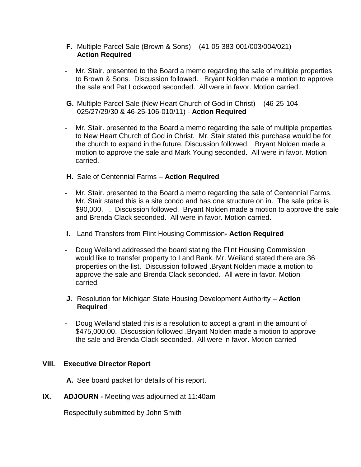- **F.** Multiple Parcel Sale (Brown & Sons) (41-05-383-001/003/004/021) **Action Required**
- Mr. Stair. presented to the Board a memo regarding the sale of multiple properties to Brown & Sons. Discussion followed. Bryant Nolden made a motion to approve the sale and Pat Lockwood seconded. All were in favor. Motion carried.
- **G.** Multiple Parcel Sale (New Heart Church of God in Christ) (46-25-104- 025/27/29/30 & 46-25-106-010/11) - **Action Required**
- Mr. Stair. presented to the Board a memo regarding the sale of multiple properties to New Heart Church of God in Christ. Mr. Stair stated this purchase would be for the church to expand in the future. Discussion followed. Bryant Nolden made a motion to approve the sale and Mark Young seconded. All were in favor. Motion carried.
- **H.** Sale of Centennial Farms **Action Required**
- Mr. Stair. presented to the Board a memo regarding the sale of Centennial Farms. Mr. Stair stated this is a site condo and has one structure on in. The sale price is \$90,000. . Discussion followed. Bryant Nolden made a motion to approve the sale and Brenda Clack seconded. All were in favor. Motion carried.
- **I.** Land Transfers from Flint Housing Commission**- Action Required**
- Doug Weiland addressed the board stating the Flint Housing Commission would like to transfer property to Land Bank. Mr. Weiland stated there are 36 properties on the list. Discussion followed .Bryant Nolden made a motion to approve the sale and Brenda Clack seconded. All were in favor. Motion carried
- **J.** Resolution for Michigan State Housing Development Authority **Action Required**
- Doug Weiland stated this is a resolution to accept a grant in the amount of \$475,000.00. Discussion followed .Bryant Nolden made a motion to approve the sale and Brenda Clack seconded. All were in favor. Motion carried

# **VIII. Executive Director Report**

**A.** See board packet for details of his report.

**IX. ADJOURN -** Meeting was adjourned at 11:40am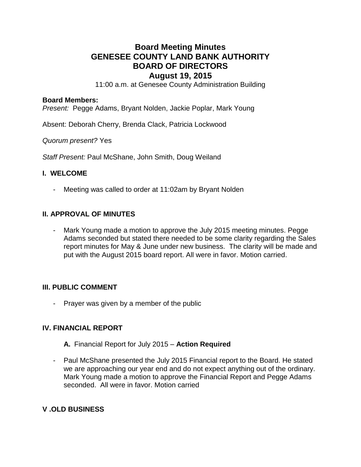# **Board Meeting Minutes GENESEE COUNTY LAND BANK AUTHORITY BOARD OF DIRECTORS August 19, 2015**

11:00 a.m. at Genesee County Administration Building

#### **Board Members:**

*Present:* Pegge Adams, Bryant Nolden, Jackie Poplar, Mark Young

Absent: Deborah Cherry, Brenda Clack, Patricia Lockwood

*Quorum present?* Yes

*Staff Present:* Paul McShane, John Smith, Doug Weiland

# **I. WELCOME**

- Meeting was called to order at 11:02am by Bryant Nolden

# **II. APPROVAL OF MINUTES**

Mark Young made a motion to approve the July 2015 meeting minutes. Pegge Adams seconded but stated there needed to be some clarity regarding the Sales report minutes for May & June under new business. The clarity will be made and put with the August 2015 board report. All were in favor. Motion carried.

# **III. PUBLIC COMMENT**

- Prayer was given by a member of the public

# **IV. FINANCIAL REPORT**

- **A.** Financial Report for July 2015 **Action Required**
- Paul McShane presented the July 2015 Financial report to the Board. He stated we are approaching our year end and do not expect anything out of the ordinary. Mark Young made a motion to approve the Financial Report and Pegge Adams seconded. All were in favor. Motion carried

# **V .OLD BUSINESS**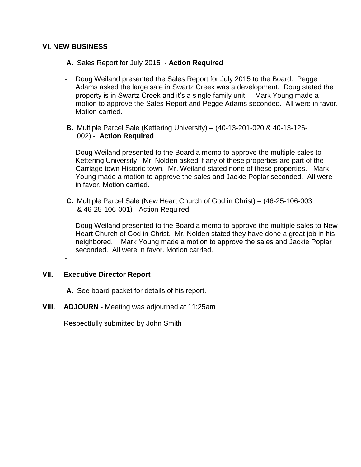# **VI. NEW BUSINESS**

- **A.** Sales Report for July 2015 **Action Required**
- Doug Weiland presented the Sales Report for July 2015 to the Board. Pegge Adams asked the large sale in Swartz Creek was a development. Doug stated the property is in Swartz Creek and it's a single family unit. Mark Young made a motion to approve the Sales Report and Pegge Adams seconded. All were in favor. Motion carried.
- **B.** Multiple Parcel Sale (Kettering University) **–** (40-13-201-020 & 40-13-126- 002) **- Action Required**
- Doug Weiland presented to the Board a memo to approve the multiple sales to Kettering University Mr. Nolden asked if any of these properties are part of the Carriage town Historic town. Mr. Weiland stated none of these properties. Mark Young made a motion to approve the sales and Jackie Poplar seconded. All were in favor. Motion carried.
- **C.** Multiple Parcel Sale (New Heart Church of God in Christ) (46-25-106-003 & 46-25-106-001) - Action Required
- Doug Weiland presented to the Board a memo to approve the multiple sales to New Heart Church of God in Christ. Mr. Nolden stated they have done a great job in his neighbored. Mark Young made a motion to approve the sales and Jackie Poplar seconded. All were in favor. Motion carried.

# **VII. Executive Director Report**

-

- **A.** See board packet for details of his report.
- **VIII. ADJOURN -** Meeting was adjourned at 11:25am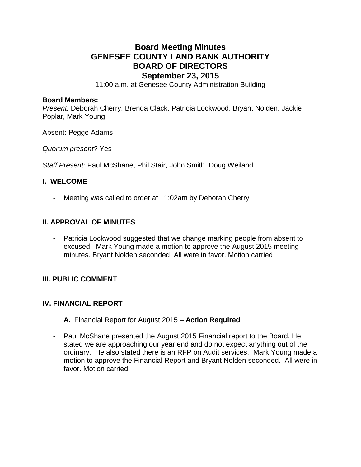# **Board Meeting Minutes GENESEE COUNTY LAND BANK AUTHORITY BOARD OF DIRECTORS September 23, 2015**

11:00 a.m. at Genesee County Administration Building

#### **Board Members:**

*Present:* Deborah Cherry, Brenda Clack, Patricia Lockwood, Bryant Nolden, Jackie Poplar, Mark Young

Absent: Pegge Adams

*Quorum present?* Yes

*Staff Present:* Paul McShane, Phil Stair, John Smith, Doug Weiland

#### **I. WELCOME**

- Meeting was called to order at 11:02am by Deborah Cherry

# **II. APPROVAL OF MINUTES**

- Patricia Lockwood suggested that we change marking people from absent to excused. Mark Young made a motion to approve the August 2015 meeting minutes. Bryant Nolden seconded. All were in favor. Motion carried.

# **III. PUBLIC COMMENT**

# **IV. FINANCIAL REPORT**

- **A.** Financial Report for August 2015 **Action Required**
- Paul McShane presented the August 2015 Financial report to the Board. He stated we are approaching our year end and do not expect anything out of the ordinary. He also stated there is an RFP on Audit services. Mark Young made a motion to approve the Financial Report and Bryant Nolden seconded. All were in favor. Motion carried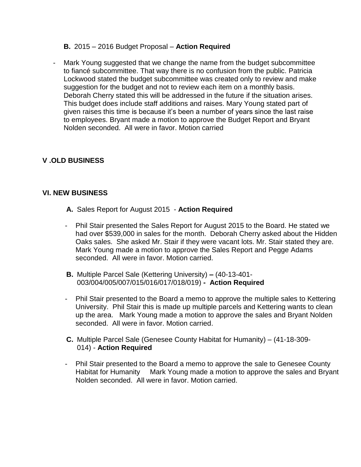#### **B.** 2015 – 2016 Budget Proposal – **Action Required**

- Mark Young suggested that we change the name from the budget subcommittee to fiancé subcommittee. That way there is no confusion from the public. Patricia Lockwood stated the budget subcommittee was created only to review and make suggestion for the budget and not to review each item on a monthly basis. Deborah Cherry stated this will be addressed in the future if the situation arises. This budget does include staff additions and raises. Mary Young stated part of given raises this time is because it's been a number of years since the last raise to employees. Bryant made a motion to approve the Budget Report and Bryant Nolden seconded. All were in favor. Motion carried

# **V .OLD BUSINESS**

#### **VI. NEW BUSINESS**

- **A.** Sales Report for August 2015 **Action Required**
- Phil Stair presented the Sales Report for August 2015 to the Board. He stated we had over \$539,000 in sales for the month. Deborah Cherry asked about the Hidden Oaks sales. She asked Mr. Stair if they were vacant lots. Mr. Stair stated they are. Mark Young made a motion to approve the Sales Report and Pegge Adams seconded. All were in favor. Motion carried.
- **B.** Multiple Parcel Sale (Kettering University) **–** (40-13-401- 003/004/005/007/015/016/017/018/019) **- Action Required**
- Phil Stair presented to the Board a memo to approve the multiple sales to Kettering University. Phil Stair this is made up multiple parcels and Kettering wants to clean up the area. Mark Young made a motion to approve the sales and Bryant Nolden seconded. All were in favor. Motion carried.
- **C.** Multiple Parcel Sale (Genesee County Habitat for Humanity) (41-18-309- 014) - **Action Required**
- Phil Stair presented to the Board a memo to approve the sale to Genesee County Habitat for Humanity Mark Young made a motion to approve the sales and Bryant Nolden seconded. All were in favor. Motion carried.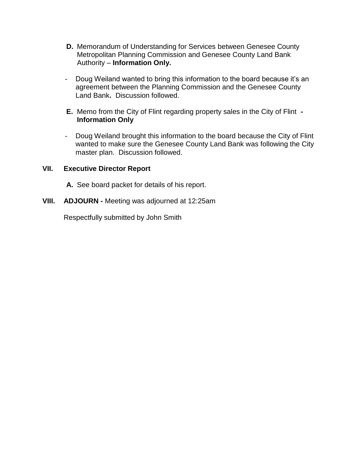- **D.** Memorandum of Understanding for Services between Genesee County Metropolitan Planning Commission and Genesee County Land Bank Authority – **Information Only.**
- Doug Weiland wanted to bring this information to the board because it's an agreement between the Planning Commission and the Genesee County Land Bank**.** Discussion followed.
- **E.** Memo from the City of Flint regarding property sales in the City of Flint **- Information Only**
- Doug Weiland brought this information to the board because the City of Flint wanted to make sure the Genesee County Land Bank was following the City master plan. Discussion followed.

# **VII. Executive Director Report**

- **A.** See board packet for details of his report.
- **VIII. ADJOURN -** Meeting was adjourned at 12:25am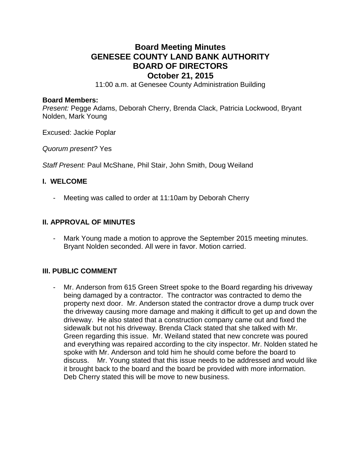# **Board Meeting Minutes GENESEE COUNTY LAND BANK AUTHORITY BOARD OF DIRECTORS October 21, 2015**

11:00 a.m. at Genesee County Administration Building

#### **Board Members:**

*Present:* Pegge Adams, Deborah Cherry, Brenda Clack, Patricia Lockwood, Bryant Nolden, Mark Young

Excused: Jackie Poplar

*Quorum present?* Yes

*Staff Present:* Paul McShane, Phil Stair, John Smith, Doug Weiland

#### **I. WELCOME**

Meeting was called to order at 11:10am by Deborah Cherry

# **II. APPROVAL OF MINUTES**

Mark Young made a motion to approve the September 2015 meeting minutes. Bryant Nolden seconded. All were in favor. Motion carried.

# **III. PUBLIC COMMENT**

- Mr. Anderson from 615 Green Street spoke to the Board regarding his driveway being damaged by a contractor. The contractor was contracted to demo the property next door. Mr. Anderson stated the contractor drove a dump truck over the driveway causing more damage and making it difficult to get up and down the driveway. He also stated that a construction company came out and fixed the sidewalk but not his driveway. Brenda Clack stated that she talked with Mr. Green regarding this issue. Mr. Weiland stated that new concrete was poured and everything was repaired according to the city inspector. Mr. Nolden stated he spoke with Mr. Anderson and told him he should come before the board to discuss. Mr. Young stated that this issue needs to be addressed and would like it brought back to the board and the board be provided with more information. Deb Cherry stated this will be move to new business.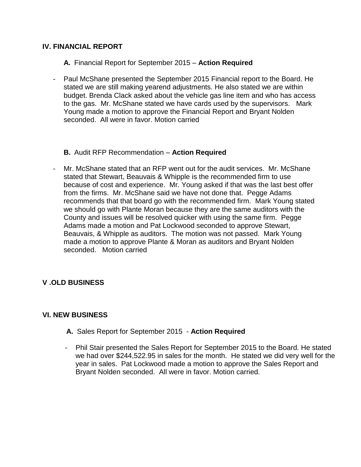# **IV. FINANCIAL REPORT**

- **A.** Financial Report for September 2015 **Action Required**
- Paul McShane presented the September 2015 Financial report to the Board. He stated we are still making yearend adjustments. He also stated we are within budget. Brenda Clack asked about the vehicle gas line item and who has access to the gas. Mr. McShane stated we have cards used by the supervisors. Mark Young made a motion to approve the Financial Report and Bryant Nolden seconded. All were in favor. Motion carried

# **B.** Audit RFP Recommendation – **Action Required**

- Mr. McShane stated that an RFP went out for the audit services. Mr. McShane stated that Stewart, Beauvais & Whipple is the recommended firm to use because of cost and experience. Mr. Young asked if that was the last best offer from the firms. Mr. McShane said we have not done that. Pegge Adams recommends that that board go with the recommended firm. Mark Young stated we should go with Plante Moran because they are the same auditors with the County and issues will be resolved quicker with using the same firm. Pegge Adams made a motion and Pat Lockwood seconded to approve Stewart, Beauvais, & Whipple as auditors. The motion was not passed. Mark Young made a motion to approve Plante & Moran as auditors and Bryant Nolden seconded. Motion carried

# **V .OLD BUSINESS**

# **VI. NEW BUSINESS**

- **A.** Sales Report for September 2015 **Action Required**
- Phil Stair presented the Sales Report for September 2015 to the Board. He stated we had over \$244,522.95 in sales for the month. He stated we did very well for the year in sales. Pat Lockwood made a motion to approve the Sales Report and Bryant Nolden seconded. All were in favor. Motion carried.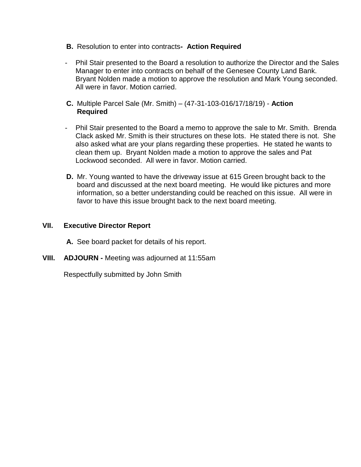- **B.** Resolution to enter into contracts **Action Required**
- Phil Stair presented to the Board a resolution to authorize the Director and the Sales Manager to enter into contracts on behalf of the Genesee County Land Bank. Bryant Nolden made a motion to approve the resolution and Mark Young seconded. All were in favor. Motion carried.
- **C.** Multiple Parcel Sale (Mr. Smith) (47-31-103-016/17/18/19) **Action Required**
- Phil Stair presented to the Board a memo to approve the sale to Mr. Smith. Brenda Clack asked Mr. Smith is their structures on these lots. He stated there is not. She also asked what are your plans regarding these properties. He stated he wants to clean them up. Bryant Nolden made a motion to approve the sales and Pat Lockwood seconded. All were in favor. Motion carried.
- **D.** Mr. Young wanted to have the driveway issue at 615 Green brought back to the board and discussed at the next board meeting. He would like pictures and more information, so a better understanding could be reached on this issue. All were in favor to have this issue brought back to the next board meeting.

# **VII. Executive Director Report**

**A.** See board packet for details of his report.

**VIII. ADJOURN -** Meeting was adjourned at 11:55am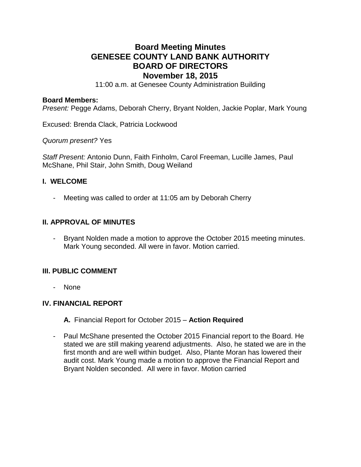# **Board Meeting Minutes GENESEE COUNTY LAND BANK AUTHORITY BOARD OF DIRECTORS November 18, 2015**

11:00 a.m. at Genesee County Administration Building

#### **Board Members:**

*Present:* Pegge Adams, Deborah Cherry, Bryant Nolden, Jackie Poplar, Mark Young

Excused: Brenda Clack, Patricia Lockwood

*Quorum present?* Yes

*Staff Present:* Antonio Dunn, Faith Finholm, Carol Freeman, Lucille James, Paul McShane, Phil Stair, John Smith, Doug Weiland

#### **I. WELCOME**

- Meeting was called to order at 11:05 am by Deborah Cherry

# **II. APPROVAL OF MINUTES**

Bryant Nolden made a motion to approve the October 2015 meeting minutes. Mark Young seconded. All were in favor. Motion carried.

# **III. PUBLIC COMMENT**

- None

# **IV. FINANCIAL REPORT**

**A.** Financial Report for October 2015 – **Action Required**

- Paul McShane presented the October 2015 Financial report to the Board. He stated we are still making yearend adjustments. Also, he stated we are in the first month and are well within budget. Also, Plante Moran has lowered their audit cost. Mark Young made a motion to approve the Financial Report and Bryant Nolden seconded. All were in favor. Motion carried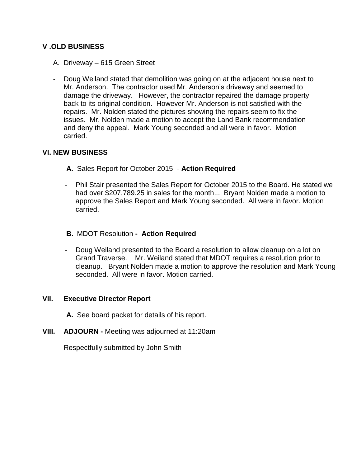# **V .OLD BUSINESS**

- A. Driveway 615 Green Street
- Doug Weiland stated that demolition was going on at the adjacent house next to Mr. Anderson. The contractor used Mr. Anderson's driveway and seemed to damage the driveway. However, the contractor repaired the damage property back to its original condition. However Mr. Anderson is not satisfied with the repairs. Mr. Nolden stated the pictures showing the repairs seem to fix the issues. Mr. Nolden made a motion to accept the Land Bank recommendation and deny the appeal. Mark Young seconded and all were in favor. Motion carried.

# **VI. NEW BUSINESS**

**A.** Sales Report for October 2015 - **Action Required**

- Phil Stair presented the Sales Report for October 2015 to the Board. He stated we had over \$207,789.25 in sales for the month... Bryant Nolden made a motion to approve the Sales Report and Mark Young seconded. All were in favor. Motion carried.
- **B.** MDOT Resolution  **Action Required**
- Doug Weiland presented to the Board a resolution to allow cleanup on a lot on Grand Traverse. Mr. Weiland stated that MDOT requires a resolution prior to cleanup. Bryant Nolden made a motion to approve the resolution and Mark Young seconded. All were in favor. Motion carried.

# **VII. Executive Director Report**

**A.** See board packet for details of his report.

**VIII. ADJOURN -** Meeting was adjourned at 11:20am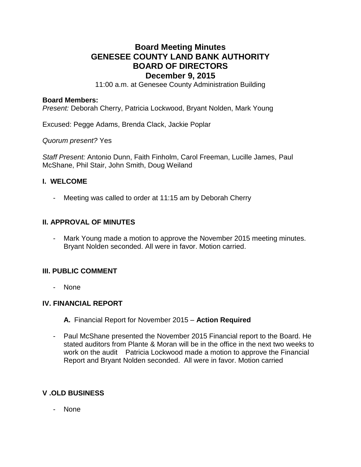# **Board Meeting Minutes GENESEE COUNTY LAND BANK AUTHORITY BOARD OF DIRECTORS December 9, 2015**

11:00 a.m. at Genesee County Administration Building

#### **Board Members:**

*Present:* Deborah Cherry, Patricia Lockwood, Bryant Nolden, Mark Young

Excused: Pegge Adams, Brenda Clack, Jackie Poplar

*Quorum present?* Yes

*Staff Present:* Antonio Dunn, Faith Finholm, Carol Freeman, Lucille James, Paul McShane, Phil Stair, John Smith, Doug Weiland

#### **I. WELCOME**

- Meeting was called to order at 11:15 am by Deborah Cherry

# **II. APPROVAL OF MINUTES**

- Mark Young made a motion to approve the November 2015 meeting minutes. Bryant Nolden seconded. All were in favor. Motion carried.

# **III. PUBLIC COMMENT**

- None

#### **IV. FINANCIAL REPORT**

- **A.** Financial Report for November 2015 **Action Required**
- Paul McShane presented the November 2015 Financial report to the Board. He stated auditors from Plante & Moran will be in the office in the next two weeks to work on the audit Patricia Lockwood made a motion to approve the Financial Report and Bryant Nolden seconded. All were in favor. Motion carried

# **V .OLD BUSINESS**

- None